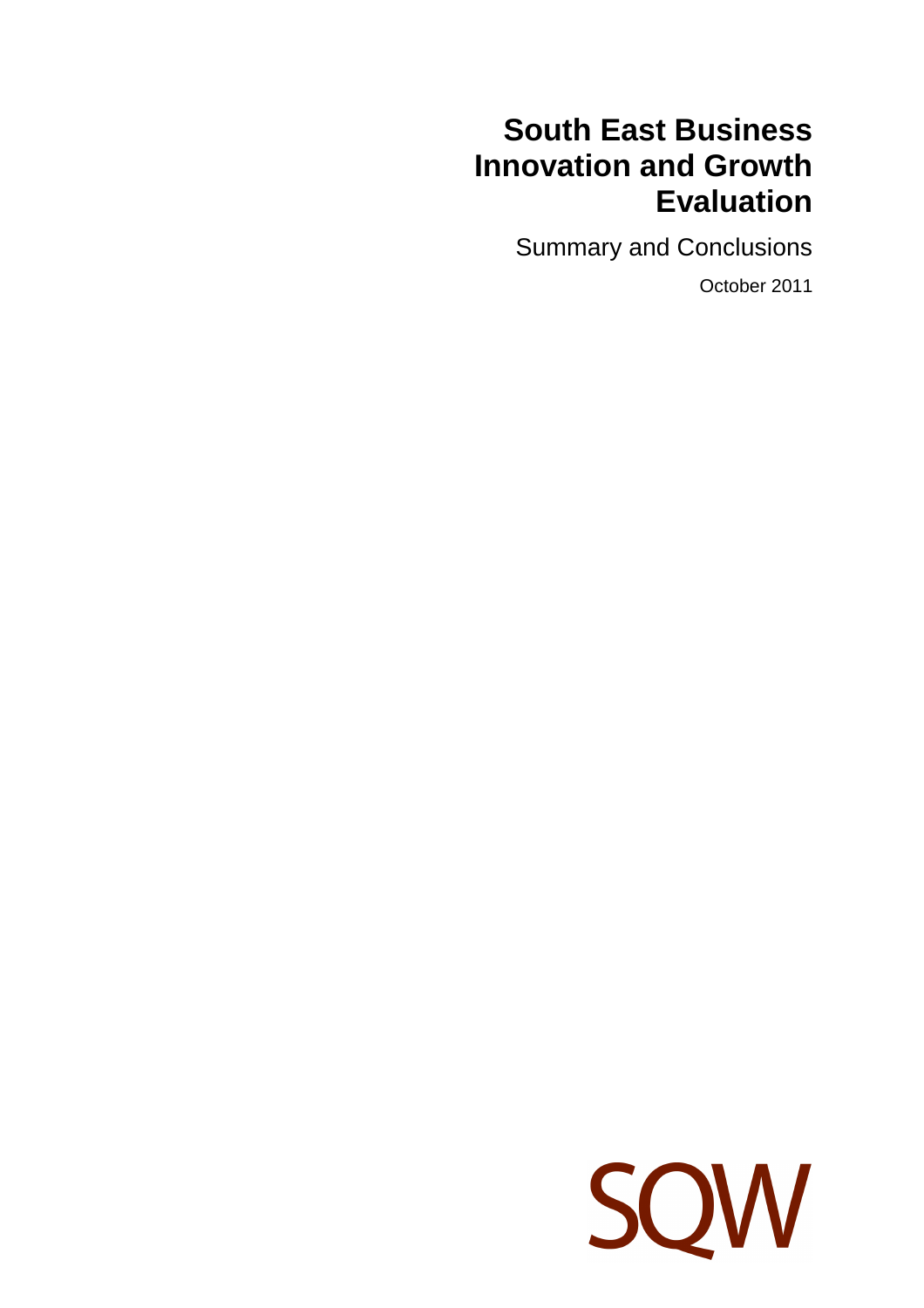# **South East Business Innovation and Growth Evaluation**

Summary and Conclusions

October 2011

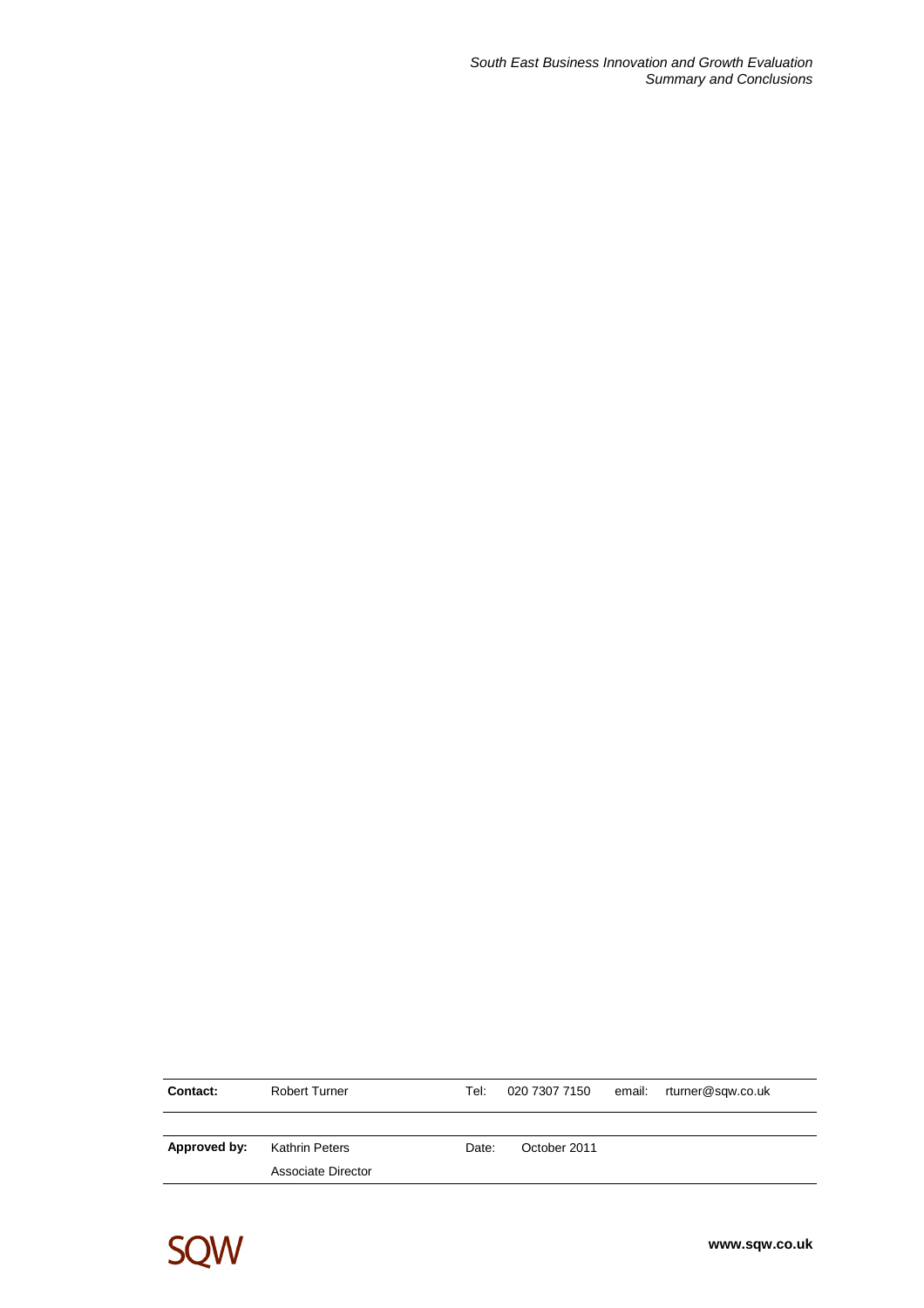South East Business Innovation and Growth Evaluation Summary and Conclusions

| <b>Contact:</b> | <b>Robert Turner</b> | Tel:  | 020 7307 7150 | email: rturner@sqw.co.uk |
|-----------------|----------------------|-------|---------------|--------------------------|
|                 |                      |       |               |                          |
| Approved by:    | Kathrin Peters       | Date: | October 2011  |                          |
|                 | Associate Director   |       |               |                          |

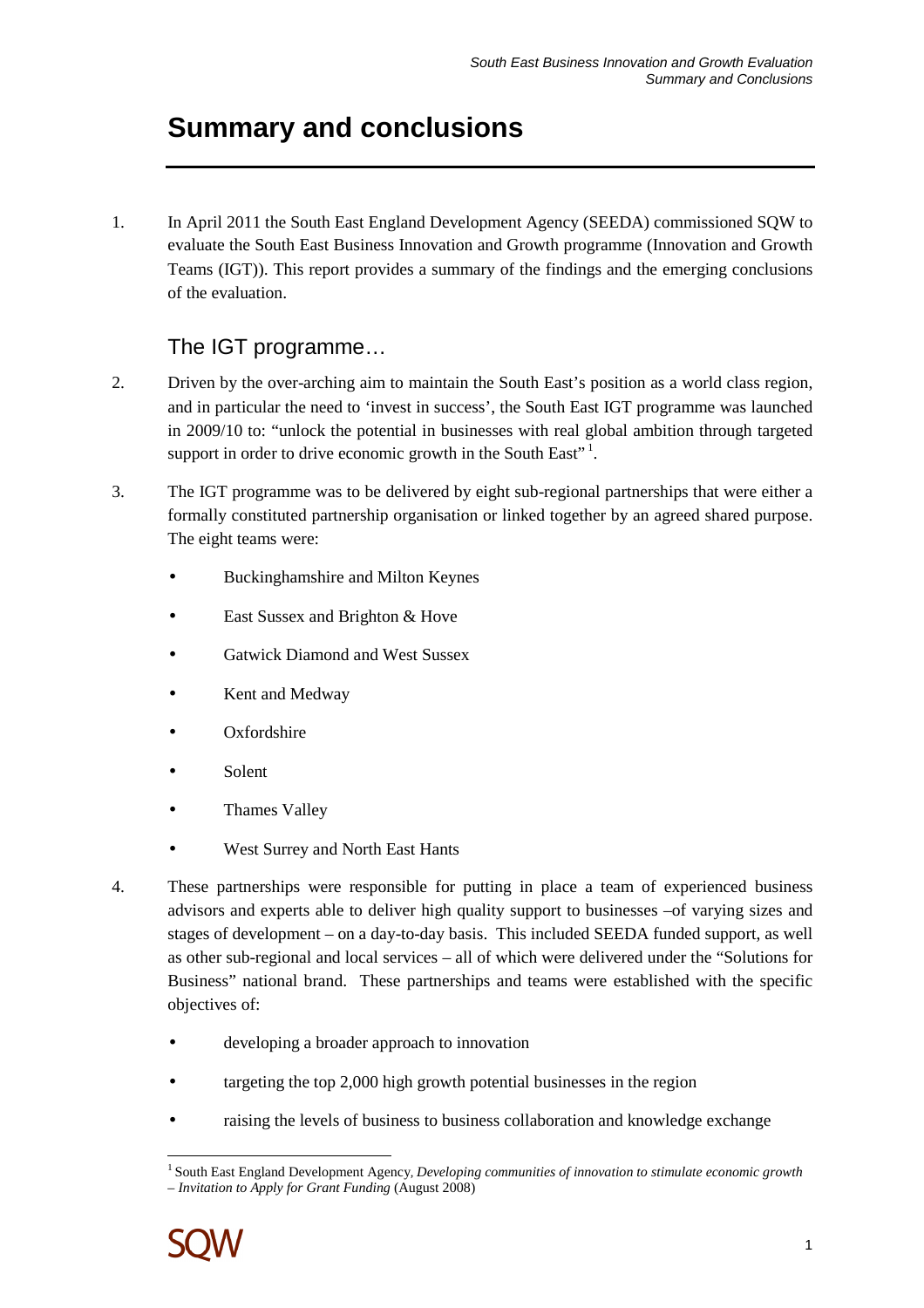## **Summary and conclusions**

1. In April 2011 the South East England Development Agency (SEEDA) commissioned SQW to evaluate the South East Business Innovation and Growth programme (Innovation and Growth Teams (IGT)). This report provides a summary of the findings and the emerging conclusions of the evaluation.

## The IGT programme…

- 2. Driven by the over-arching aim to maintain the South East's position as a world class region, and in particular the need to 'invest in success', the South East IGT programme was launched in 2009/10 to: "unlock the potential in businesses with real global ambition through targeted support in order to drive economic growth in the South East"<sup>1</sup>.
- 3. The IGT programme was to be delivered by eight sub-regional partnerships that were either a formally constituted partnership organisation or linked together by an agreed shared purpose. The eight teams were:
	- Buckinghamshire and Milton Keynes
	- East Sussex and Brighton & Hove
	- Gatwick Diamond and West Sussex
	- Kent and Medway
	- Oxfordshire
	- Solent
	- Thames Valley
	- West Surrey and North East Hants
- 4. These partnerships were responsible for putting in place a team of experienced business advisors and experts able to deliver high quality support to businesses –of varying sizes and stages of development – on a day-to-day basis. This included SEEDA funded support, as well as other sub-regional and local services – all of which were delivered under the "Solutions for Business" national brand. These partnerships and teams were established with the specific objectives of:
	- developing a broader approach to innovation
	- targeting the top 2,000 high growth potential businesses in the region
	- raising the levels of business to business collaboration and knowledge exchange

 $\overline{a}$ <sup>1</sup>South East England Development Agency*, Developing communities of innovation to stimulate economic growth – Invitation to Apply for Grant Funding* (August 2008)

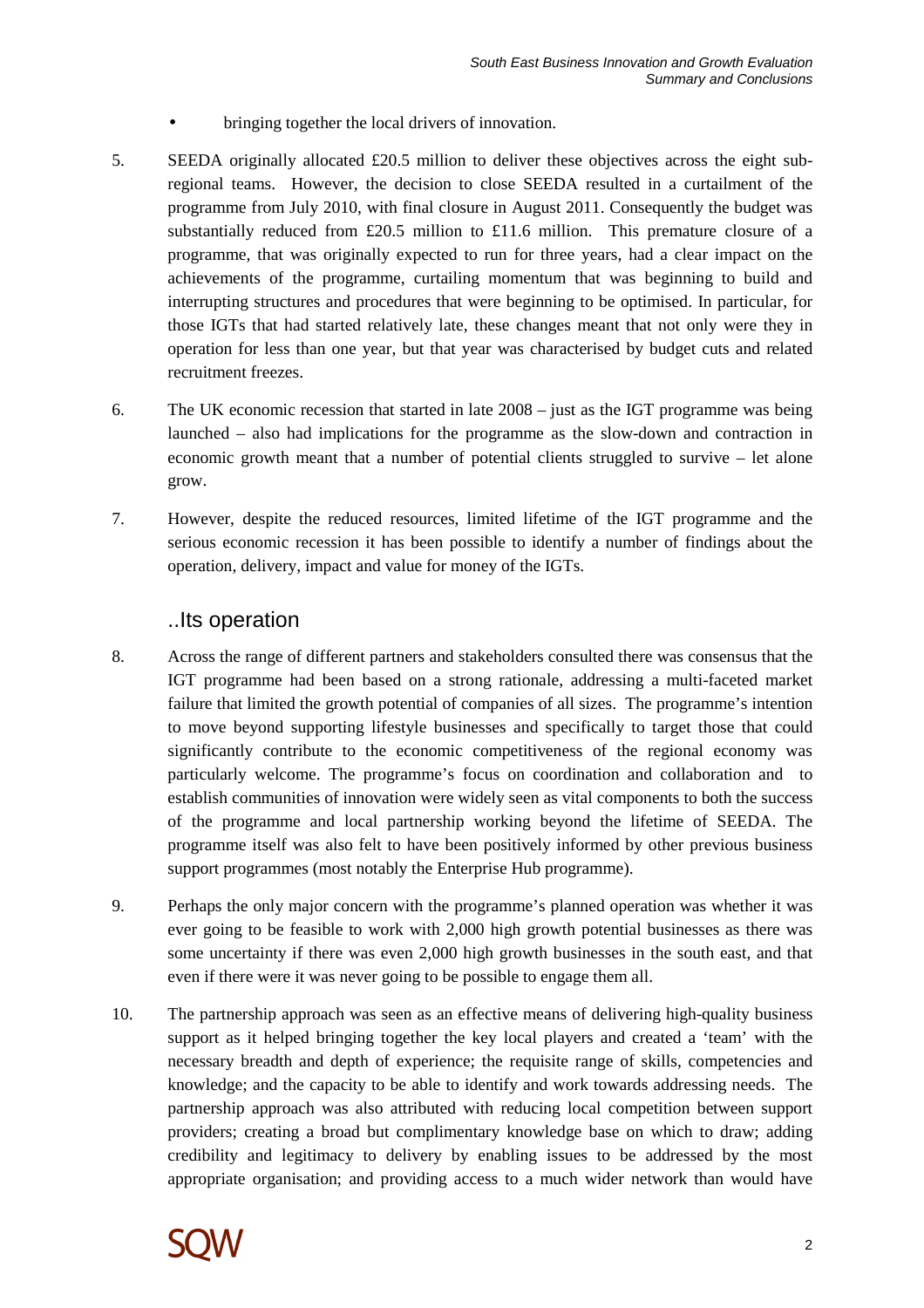- bringing together the local drivers of innovation.
- 5. SEEDA originally allocated  $£20.5$  million to deliver these objectives across the eight subregional teams. However, the decision to close SEEDA resulted in a curtailment of the programme from July 2010, with final closure in August 2011. Consequently the budget was substantially reduced from £20.5 million to £11.6 million. This premature closure of a programme, that was originally expected to run for three years, had a clear impact on the achievements of the programme, curtailing momentum that was beginning to build and interrupting structures and procedures that were beginning to be optimised. In particular, for those IGTs that had started relatively late, these changes meant that not only were they in operation for less than one year, but that year was characterised by budget cuts and related recruitment freezes.
- 6. The UK economic recession that started in late 2008 just as the IGT programme was being launched – also had implications for the programme as the slow-down and contraction in economic growth meant that a number of potential clients struggled to survive – let alone grow.
- 7. However, despite the reduced resources, limited lifetime of the IGT programme and the serious economic recession it has been possible to identify a number of findings about the operation, delivery, impact and value for money of the IGTs.

#### ..Its operation

- 8. Across the range of different partners and stakeholders consulted there was consensus that the IGT programme had been based on a strong rationale, addressing a multi-faceted market failure that limited the growth potential of companies of all sizes. The programme's intention to move beyond supporting lifestyle businesses and specifically to target those that could significantly contribute to the economic competitiveness of the regional economy was particularly welcome. The programme's focus on coordination and collaboration and to establish communities of innovation were widely seen as vital components to both the success of the programme and local partnership working beyond the lifetime of SEEDA. The programme itself was also felt to have been positively informed by other previous business support programmes (most notably the Enterprise Hub programme).
- 9. Perhaps the only major concern with the programme's planned operation was whether it was ever going to be feasible to work with 2,000 high growth potential businesses as there was some uncertainty if there was even 2,000 high growth businesses in the south east, and that even if there were it was never going to be possible to engage them all.
- 10. The partnership approach was seen as an effective means of delivering high-quality business support as it helped bringing together the key local players and created a 'team' with the necessary breadth and depth of experience; the requisite range of skills, competencies and knowledge; and the capacity to be able to identify and work towards addressing needs. The partnership approach was also attributed with reducing local competition between support providers; creating a broad but complimentary knowledge base on which to draw; adding credibility and legitimacy to delivery by enabling issues to be addressed by the most appropriate organisation; and providing access to a much wider network than would have

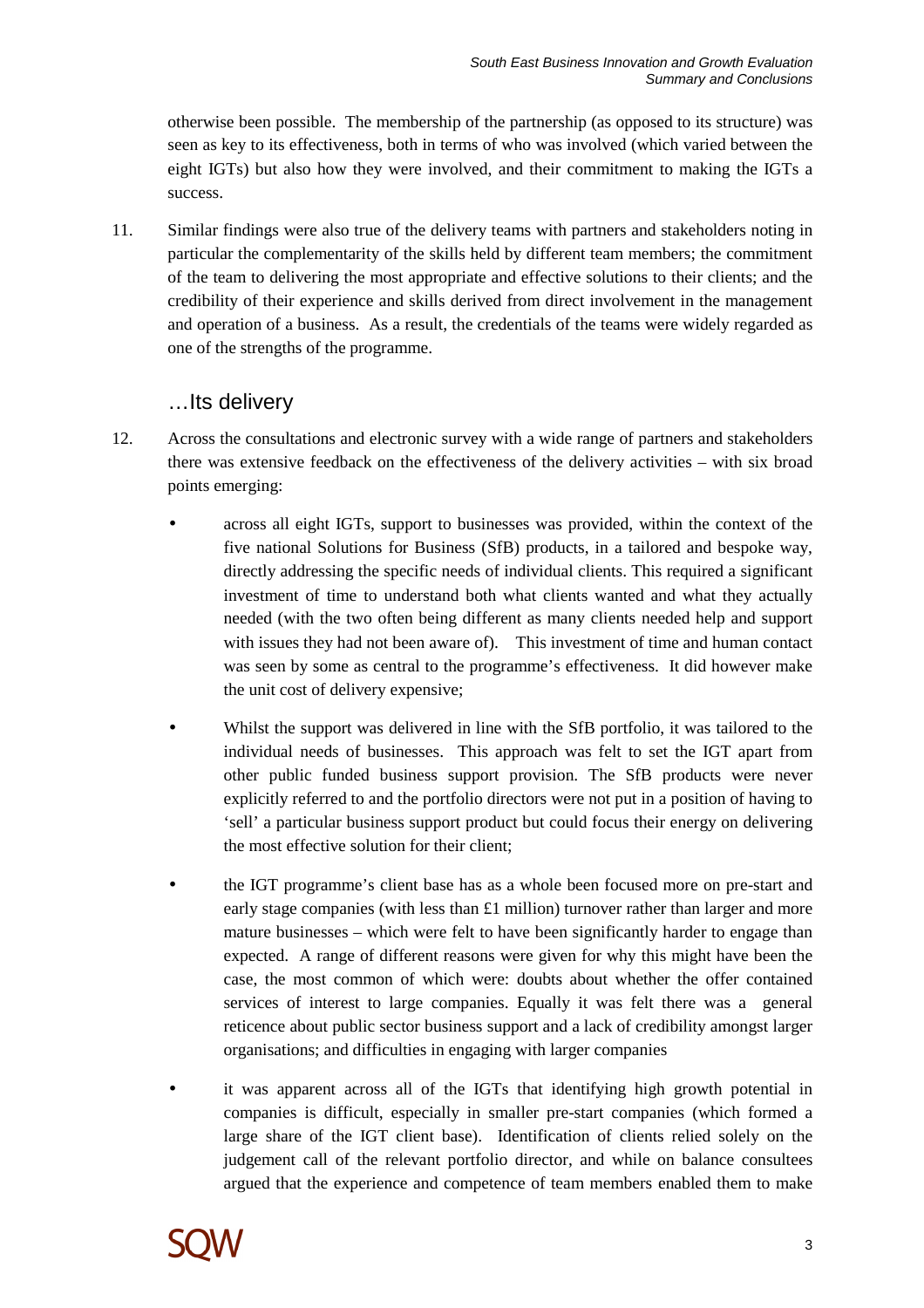otherwise been possible. The membership of the partnership (as opposed to its structure) was seen as key to its effectiveness, both in terms of who was involved (which varied between the eight IGTs) but also how they were involved, and their commitment to making the IGTs a success.

11. Similar findings were also true of the delivery teams with partners and stakeholders noting in particular the complementarity of the skills held by different team members; the commitment of the team to delivering the most appropriate and effective solutions to their clients; and the credibility of their experience and skills derived from direct involvement in the management and operation of a business. As a result, the credentials of the teams were widely regarded as one of the strengths of the programme.

### …Its delivery

- 12. Across the consultations and electronic survey with a wide range of partners and stakeholders there was extensive feedback on the effectiveness of the delivery activities – with six broad points emerging:
	- across all eight IGTs, support to businesses was provided, within the context of the five national Solutions for Business (SfB) products, in a tailored and bespoke way, directly addressing the specific needs of individual clients. This required a significant investment of time to understand both what clients wanted and what they actually needed (with the two often being different as many clients needed help and support with issues they had not been aware of). This investment of time and human contact was seen by some as central to the programme's effectiveness. It did however make the unit cost of delivery expensive;
	- Whilst the support was delivered in line with the SfB portfolio, it was tailored to the individual needs of businesses. This approach was felt to set the IGT apart from other public funded business support provision. The SfB products were never explicitly referred to and the portfolio directors were not put in a position of having to 'sell' a particular business support product but could focus their energy on delivering the most effective solution for their client;
	- the IGT programme's client base has as a whole been focused more on pre-start and early stage companies (with less than £1 million) turnover rather than larger and more mature businesses – which were felt to have been significantly harder to engage than expected. A range of different reasons were given for why this might have been the case, the most common of which were: doubts about whether the offer contained services of interest to large companies. Equally it was felt there was a general reticence about public sector business support and a lack of credibility amongst larger organisations; and difficulties in engaging with larger companies
	- it was apparent across all of the IGTs that identifying high growth potential in companies is difficult, especially in smaller pre-start companies (which formed a large share of the IGT client base). Identification of clients relied solely on the judgement call of the relevant portfolio director, and while on balance consultees argued that the experience and competence of team members enabled them to make

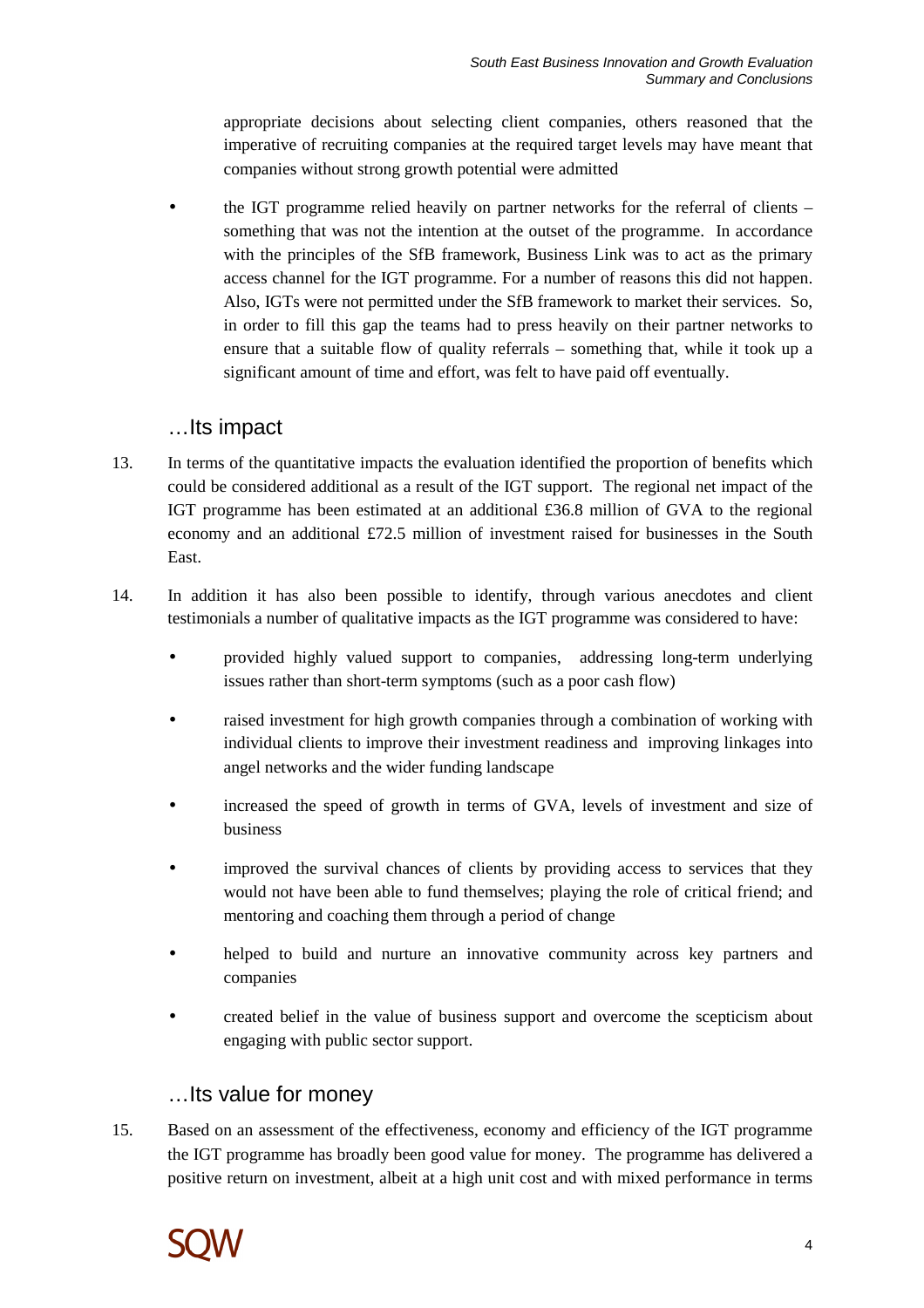appropriate decisions about selecting client companies, others reasoned that the imperative of recruiting companies at the required target levels may have meant that companies without strong growth potential were admitted

• the IGT programme relied heavily on partner networks for the referral of clients – something that was not the intention at the outset of the programme. In accordance with the principles of the SfB framework, Business Link was to act as the primary access channel for the IGT programme. For a number of reasons this did not happen. Also, IGTs were not permitted under the SfB framework to market their services. So, in order to fill this gap the teams had to press heavily on their partner networks to ensure that a suitable flow of quality referrals – something that, while it took up a significant amount of time and effort, was felt to have paid off eventually.

#### …Its impact

- 13. In terms of the quantitative impacts the evaluation identified the proportion of benefits which could be considered additional as a result of the IGT support. The regional net impact of the IGT programme has been estimated at an additional £36.8 million of GVA to the regional economy and an additional £72.5 million of investment raised for businesses in the South East.
- 14. In addition it has also been possible to identify, through various anecdotes and client testimonials a number of qualitative impacts as the IGT programme was considered to have:
	- provided highly valued support to companies, addressing long-term underlying issues rather than short-term symptoms (such as a poor cash flow)
	- raised investment for high growth companies through a combination of working with individual clients to improve their investment readiness and improving linkages into angel networks and the wider funding landscape
	- increased the speed of growth in terms of GVA, levels of investment and size of business
	- improved the survival chances of clients by providing access to services that they would not have been able to fund themselves; playing the role of critical friend; and mentoring and coaching them through a period of change
	- helped to build and nurture an innovative community across key partners and companies
	- created belief in the value of business support and overcome the scepticism about engaging with public sector support.

#### …Its value for money

15. Based on an assessment of the effectiveness, economy and efficiency of the IGT programme the IGT programme has broadly been good value for money. The programme has delivered a positive return on investment, albeit at a high unit cost and with mixed performance in terms

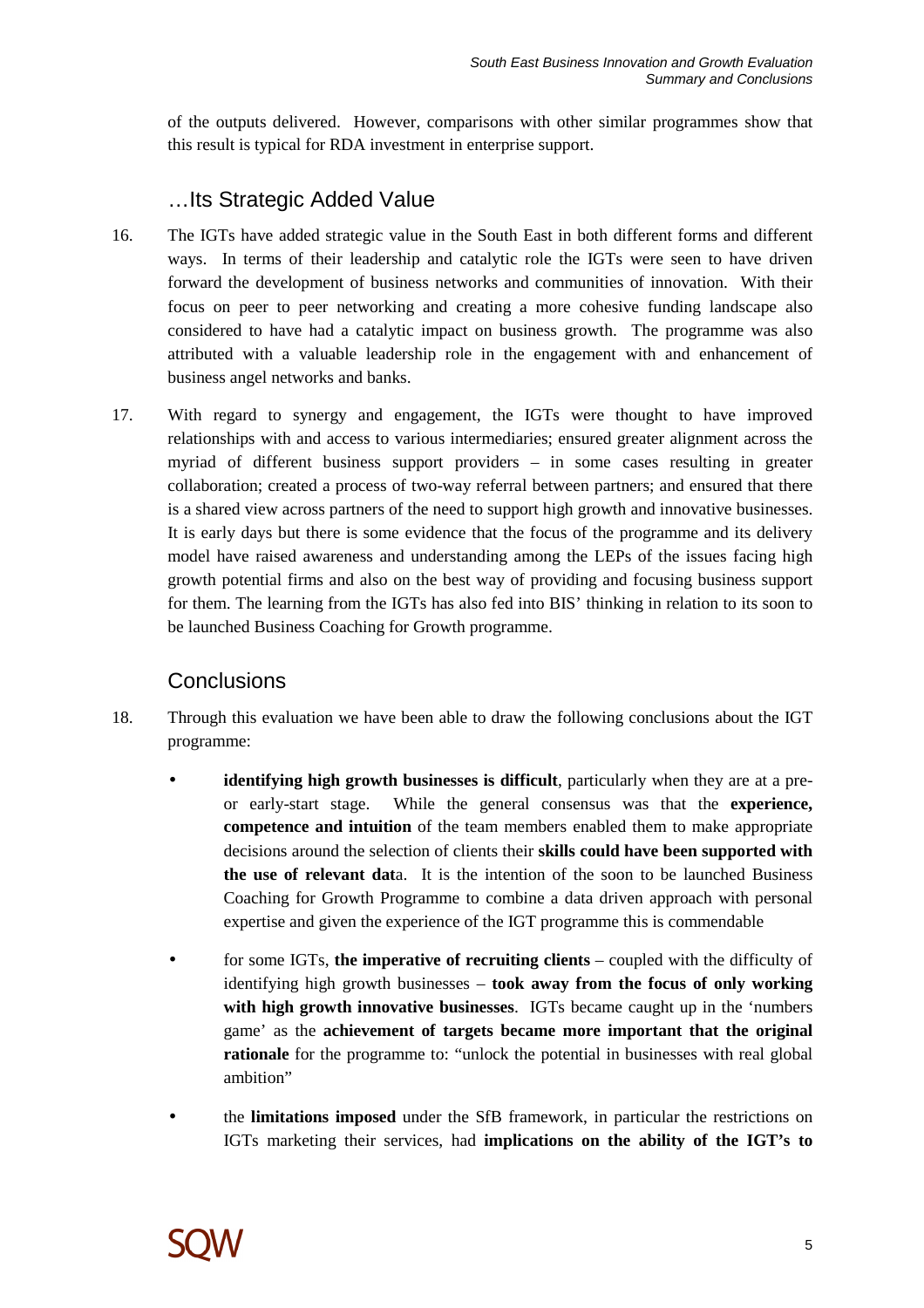of the outputs delivered. However, comparisons with other similar programmes show that this result is typical for RDA investment in enterprise support.

### …Its Strategic Added Value

- 16. The IGTs have added strategic value in the South East in both different forms and different ways. In terms of their leadership and catalytic role the IGTs were seen to have driven forward the development of business networks and communities of innovation. With their focus on peer to peer networking and creating a more cohesive funding landscape also considered to have had a catalytic impact on business growth. The programme was also attributed with a valuable leadership role in the engagement with and enhancement of business angel networks and banks.
- 17. With regard to synergy and engagement, the IGTs were thought to have improved relationships with and access to various intermediaries; ensured greater alignment across the myriad of different business support providers – in some cases resulting in greater collaboration; created a process of two-way referral between partners; and ensured that there is a shared view across partners of the need to support high growth and innovative businesses. It is early days but there is some evidence that the focus of the programme and its delivery model have raised awareness and understanding among the LEPs of the issues facing high growth potential firms and also on the best way of providing and focusing business support for them. The learning from the IGTs has also fed into BIS' thinking in relation to its soon to be launched Business Coaching for Growth programme.

### **Conclusions**

- 18. Through this evaluation we have been able to draw the following conclusions about the IGT programme:
	- **identifying high growth businesses is difficult**, particularly when they are at a preor early-start stage. While the general consensus was that the **experience, competence and intuition** of the team members enabled them to make appropriate decisions around the selection of clients their **skills could have been supported with the use of relevant dat**a. It is the intention of the soon to be launched Business Coaching for Growth Programme to combine a data driven approach with personal expertise and given the experience of the IGT programme this is commendable
	- for some IGTs, **the imperative of recruiting clients** coupled with the difficulty of identifying high growth businesses – **took away from the focus of only working with high growth innovative businesses**. IGTs became caught up in the 'numbers game' as the **achievement of targets became more important that the original rationale** for the programme to: "unlock the potential in businesses with real global ambition"
	- the **limitations imposed** under the SfB framework, in particular the restrictions on IGTs marketing their services, had **implications on the ability of the IGT's to**

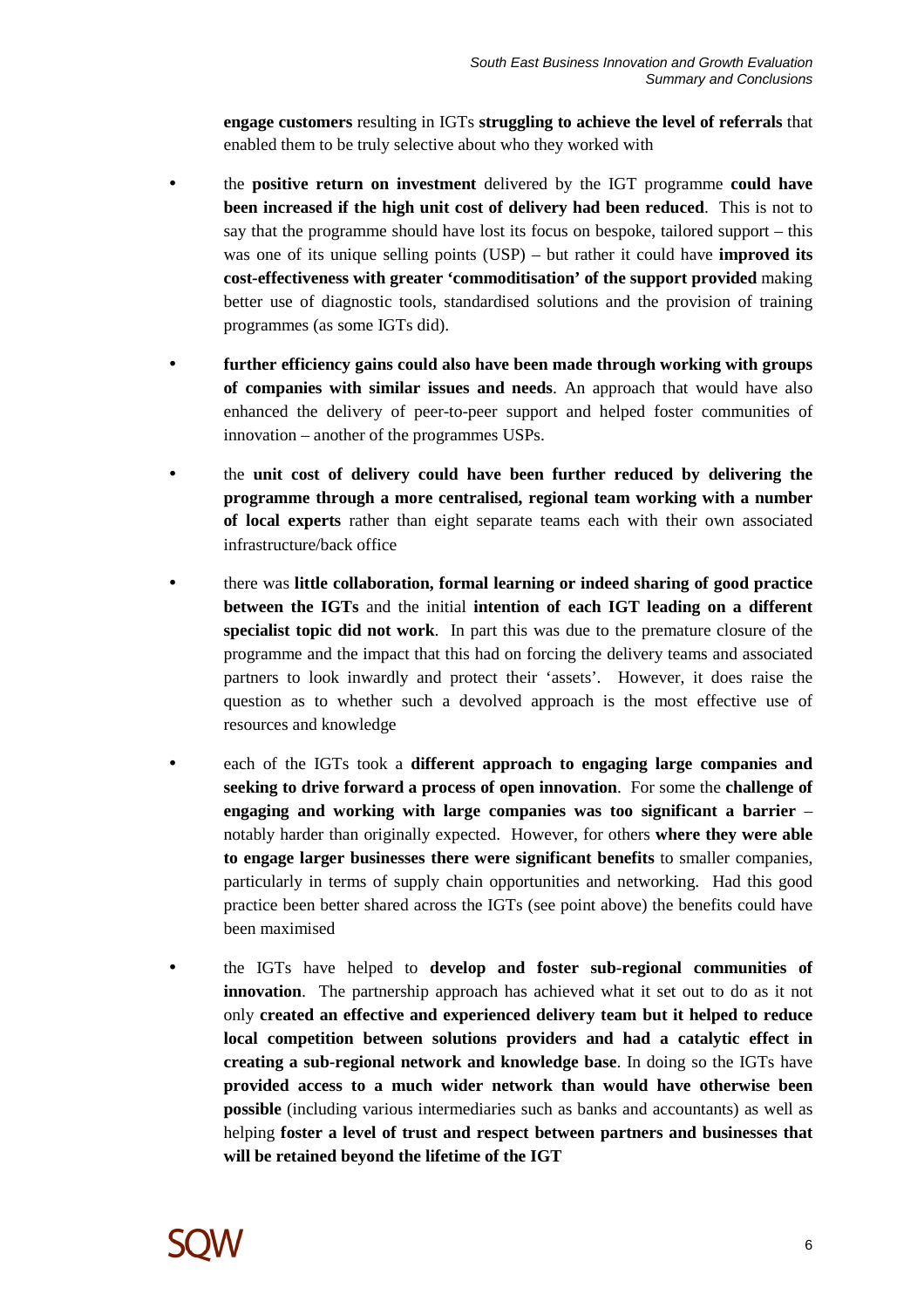**engage customers** resulting in IGTs **struggling to achieve the level of referrals** that enabled them to be truly selective about who they worked with

- the **positive return on investment** delivered by the IGT programme **could have been increased if the high unit cost of delivery had been reduced**. This is not to say that the programme should have lost its focus on bespoke, tailored support – this was one of its unique selling points (USP) – but rather it could have **improved its cost-effectiveness with greater 'commoditisation' of the support provided** making better use of diagnostic tools, standardised solutions and the provision of training programmes (as some IGTs did).
- **further efficiency gains could also have been made through working with groups of companies with similar issues and needs**. An approach that would have also enhanced the delivery of peer-to-peer support and helped foster communities of innovation – another of the programmes USPs.
- the **unit cost of delivery could have been further reduced by delivering the programme through a more centralised, regional team working with a number of local experts** rather than eight separate teams each with their own associated infrastructure/back office
- there was **little collaboration, formal learning or indeed sharing of good practice between the IGTs** and the initial **intention of each IGT leading on a different specialist topic did not work**. In part this was due to the premature closure of the programme and the impact that this had on forcing the delivery teams and associated partners to look inwardly and protect their 'assets'. However, it does raise the question as to whether such a devolved approach is the most effective use of resources and knowledge
- each of the IGTs took a **different approach to engaging large companies and seeking to drive forward a process of open innovation**. For some the **challenge of engaging and working with large companies was too significant a barrier** – notably harder than originally expected. However, for others **where they were able to engage larger businesses there were significant benefits** to smaller companies, particularly in terms of supply chain opportunities and networking. Had this good practice been better shared across the IGTs (see point above) the benefits could have been maximised
- the IGTs have helped to **develop and foster sub-regional communities of innovation**. The partnership approach has achieved what it set out to do as it not only **created an effective and experienced delivery team but it helped to reduce local competition between solutions providers and had a catalytic effect in creating a sub-regional network and knowledge base**. In doing so the IGTs have **provided access to a much wider network than would have otherwise been possible** (including various intermediaries such as banks and accountants) as well as helping **foster a level of trust and respect between partners and businesses that will be retained beyond the lifetime of the IGT**